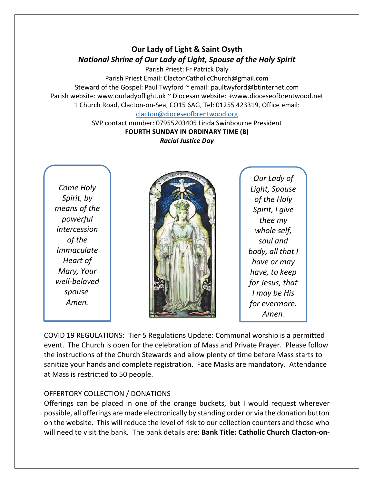# **Our Lady of Light & Saint Osyth** *National Shrine of Our Lady of Light, Spouse of the Holy Spirit*

Parish Priest: Fr Patrick Daly Parish Priest Email: ClactonCatholicChurch@gmail.com Steward of the Gospel: Paul Twyford ~ email: paultwyford@btinternet.com Parish website: www.ourladyoflight.uk ~ Diocesan website: +www.dioceseofbrentwood.net 1 Church Road, Clacton-on-Sea, CO15 6AG, Tel: 01255 423319, Office email:

### [clacton@dioceseofbrentwood.org](mailto:clacton@dioceseofbrentwood.org)

SVP contact number: 07955203405 Linda Swinbourne President **FOURTH SUNDAY IN ORDINARY TIME (B)** *Racial Justice Day*

*Come Holy Spirit, by means of the powerful intercession of the Immaculate Heart of Mary, Your well-beloved spouse. Amen.*



*Our Lady of Light, Spouse of the Holy Spirit, I give thee my whole self, soul and body, all that I have or may have, to keep for Jesus, that I may be His for evermore. Amen.*

COVID 19 REGULATIONS: Tier 5 Regulations Update: Communal worship is a permitted event. The Church is open for the celebration of Mass and Private Prayer. Please follow the instructions of the Church Stewards and allow plenty of time before Mass starts to sanitize your hands and complete registration. Face Masks are mandatory. Attendance at Mass is restricted to 50 people.

## OFFERTORY COLLECTION / DONATIONS

Offerings can be placed in one of the orange buckets, but I would request wherever possible, all offerings are made electronically by standing order or via the donation button on the website. This will reduce the level of risk to our collection counters and those who will need to visit the bank. The bank details are: **Bank Title: Catholic Church Clacton-on-**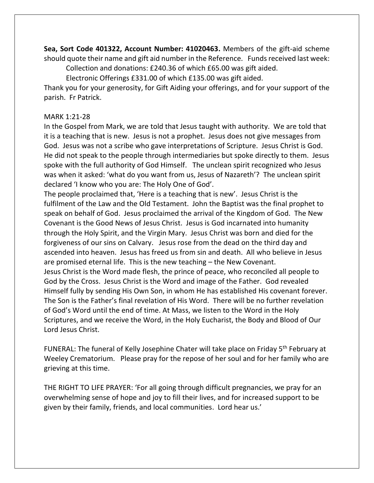**Sea, Sort Code 401322, Account Number: 41020463.** Members of the gift-aid scheme should quote their name and gift aid number in the Reference. Funds received last week:

Collection and donations: £240.36 of which £65.00 was gift aided. Electronic Offerings £331.00 of which £135.00 was gift aided.

Thank you for your generosity, for Gift Aiding your offerings, and for your support of the parish. Fr Patrick.

## MARK 1:21-28

In the Gospel from Mark, we are told that Jesus taught with authority. We are told that it is a teaching that is new. Jesus is not a prophet. Jesus does not give messages from God. Jesus was not a scribe who gave interpretations of Scripture. Jesus Christ is God. He did not speak to the people through intermediaries but spoke directly to them. Jesus spoke with the full authority of God Himself. The unclean spirit recognized who Jesus was when it asked: 'what do you want from us, Jesus of Nazareth'? The unclean spirit declared 'I know who you are: The Holy One of God'.

The people proclaimed that, 'Here is a teaching that is new'. Jesus Christ is the fulfilment of the Law and the Old Testament. John the Baptist was the final prophet to speak on behalf of God. Jesus proclaimed the arrival of the Kingdom of God. The New Covenant is the Good News of Jesus Christ. Jesus is God incarnated into humanity through the Holy Spirit, and the Virgin Mary. Jesus Christ was born and died for the forgiveness of our sins on Calvary. Jesus rose from the dead on the third day and ascended into heaven. Jesus has freed us from sin and death. All who believe in Jesus are promised eternal life. This is the new teaching – the New Covenant. Jesus Christ is the Word made flesh, the prince of peace, who reconciled all people to God by the Cross. Jesus Christ is the Word and image of the Father. God revealed Himself fully by sending His Own Son, in whom He has established His covenant forever. The Son is the Father's final revelation of His Word. There will be no further revelation of God's Word until the end of time. At Mass, we listen to the Word in the Holy Scriptures, and we receive the Word, in the Holy Eucharist, the Body and Blood of Our Lord Jesus Christ.

FUNERAL: The funeral of Kelly Josephine Chater will take place on Friday 5<sup>th</sup> February at Weeley Crematorium. Please pray for the repose of her soul and for her family who are grieving at this time.

THE RIGHT TO LIFE PRAYER: 'For all going through difficult pregnancies, we pray for an overwhelming sense of hope and joy to fill their lives, and for increased support to be given by their family, friends, and local communities. Lord hear us.'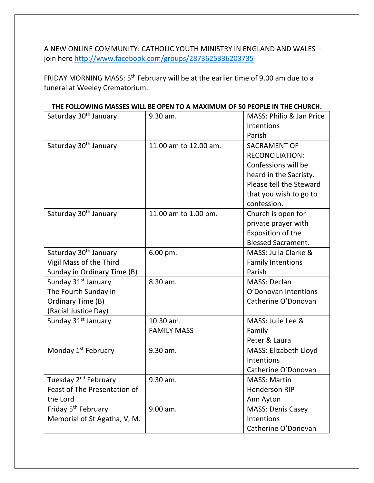A NEW ONLINE COMMUNITY: CATHOLIC YOUTH MINISTRY IN ENGLAND AND WALES – join here<http://www.facebook.com/groups/2873625336203735>

FRIDAY MORNING MASS: 5<sup>th</sup> February will be at the earlier time of 9.00 am due to a funeral at Weeley Crematorium.

| Saturday 30 <sup>th</sup> January                                                                    | 9.30 am.                        | MASS: Philip & Jan Price<br>Intentions<br>Parish                                                                                                                   |
|------------------------------------------------------------------------------------------------------|---------------------------------|--------------------------------------------------------------------------------------------------------------------------------------------------------------------|
| Saturday 30 <sup>th</sup> January                                                                    | 11.00 am to 12.00 am.           | <b>SACRAMENT OF</b><br><b>RECONCILIATION:</b><br>Confessions will be<br>heard in the Sacristy.<br>Please tell the Steward<br>that you wish to go to<br>confession. |
| Saturday 30 <sup>th</sup> January                                                                    | 11.00 am to 1.00 pm.            | Church is open for<br>private prayer with<br>Exposition of the<br><b>Blessed Sacrament.</b>                                                                        |
| Saturday 30 <sup>th</sup> January<br>Vigil Mass of the Third<br>Sunday in Ordinary Time (B)          | 6.00 pm.                        | MASS: Julia Clarke &<br><b>Family Intentions</b><br>Parish                                                                                                         |
| Sunday 31 <sup>st</sup> January<br>The Fourth Sunday in<br>Ordinary Time (B)<br>(Racial Justice Day) | 8.30 am.                        | <b>MASS: Declan</b><br>O'Donovan Intentions<br>Catherine O'Donovan                                                                                                 |
| Sunday 31 <sup>st</sup> January                                                                      | 10.30 am.<br><b>FAMILY MASS</b> | MASS: Julie Lee &<br>Family<br>Peter & Laura                                                                                                                       |
| Monday 1 <sup>st</sup> February                                                                      | 9.30 am.                        | MASS: Elizabeth Lloyd<br>Intentions<br>Catherine O'Donovan                                                                                                         |
| Tuesday 2 <sup>nd</sup> February<br>Feast of The Presentation of<br>the Lord                         | 9.30 am.                        | <b>MASS: Martin</b><br><b>Henderson RIP</b><br>Ann Ayton                                                                                                           |
| Friday 5 <sup>th</sup> February<br>Memorial of St Agatha, V, M.                                      | 9.00 am.                        | <b>MASS: Denis Casey</b><br>Intentions<br>Catherine O'Donovan                                                                                                      |

#### **THE FOLLOWING MASSES WILL BE OPEN TO A MAXIMUM OF 50 PEOPLE IN THE CHURCH.**